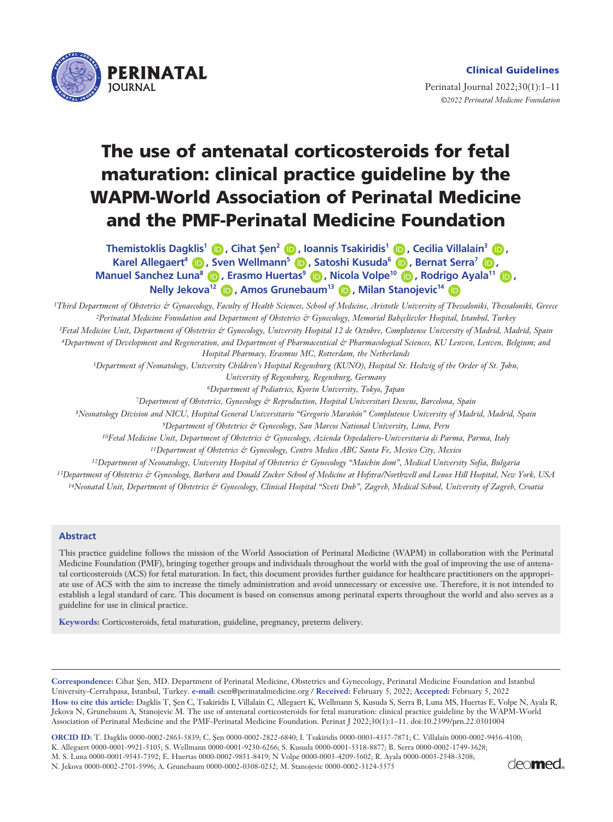

Perinatal Journal 2022;30(1):1–11 *©2022 Perinatal Medicine Foundation* 

# **The use of antenatal corticosteroids for fetal maturation: clinical practice guideline by the WAPM-World Association of Perinatal Medicine and the PMF-Perinatal Medicine Foundation**

**Nelly Jekova<sup>12</sup> (D), Amos Grunebaum<sup>13</sup> (D), Milan Stanojevic<sup>14</sup> (D Themistoklis Dagklis<sup>1</sup> <b>D**, Cihat Sen<sup>2</sup> **D**, Ioannis Tsakiridis<sup>1</sup> D, Cecilia Villalaín<sup>3</sup> D, **Karel Allegaert<sup>4</sup> (D), Sven Wellmann<sup>5</sup> (D), Satoshi Kusuda<sup>6</sup> (D), Bernat Serra<sup>7</sup> (D), Manuel Sanchez Luna<sup>8</sup> (D<sub>)</sub>, Erasmo Huertas<sup>9</sup> (D<sub>)</sub>, Nicola Volpe<sup>10</sup> (D<sub>)</sub>, Rodrigo Ayala<sup>11</sup> (D<sub>)</sub>,** 

*1Third Department of Obstetrics & Gynaecology, Faculty of Health Sciences, School of Medicine, Aristotle University of Thessaloniki, Thessaloniki, Greece 2Perinatal Medicine Foundation and Department of Obstetrics & Gynecology, Memorial Bahçelievler Hospital, Istanbul, Turkey 3Fetal Medicine Unit, Department of Obstetrics & Gynecology, University Hospital 12 de Octubre, Complutense University of Madrid, Madrid, Spain 4Department of Development and Regeneration, and Department of Pharmaceutical & Pharmacological Sciences, KU Leuven, Leuven, Belgium; and Hospital Pharmacy, Erasmus MC, Rotterdam, the Netherlands*

*5Department of Neonatology, University Children's Hospital Regensburg (KUNO), Hospital St. Hedwig of the Order of St. John,* 

*University of Regensburg, Regensburg, Germany*

*6Department of Pediatrics, Kyorin University, Tokyo, Japan*

*7Department of Obstetrics, Gynecology & Reproduction, Hospital Universitari Dexeus, Barcelona, Spain*

*8Neonatology Division and NICU, Hospital General Universitario "Gregorio Marañón" Complutense University of Madrid, Madrid, Spain*

*9Department of Obstetrics & Gynecology, San Marcos National University, Lima, Peru*

*10Fetal Medicine Unit, Department of Obstetrics & Gynecology, Azienda Ospedaliero-Universitaria di Parma, Parma, Italy*

*11Department of Obstetrics & Gynecology, Centro Medico ABC Santa Fe, Mexico City, Mexico*

*12Department of Neonatology, University Hospital of Obstetrics & Gynecology "Maichin dom", Medical University Sofia, Bulgaria*

*13Department of Obstetrics & Gynecology, Barbara and Donald Zucker School of Medicine at Hofstra/Northwell and Lenox Hill Hospital, New York, USA*

*14Neonatal Unit, Department of Obstetrics & Gynecology, Clinical Hospital "Sveti Duh", Zagreb, Medical School, University of Zagreb, Croatia*

#### **Abstract**

This practice guideline follows the mission of the World Association of Perinatal Medicine (WAPM) in collaboration with the Perinatal Medicine Foundation (PMF), bringing together groups and individuals throughout the world with the goal of improving the use of antenatal corticosteroids (ACS) for fetal maturation. In fact, this document provides further guidance for healthcare practitioners on the appropriate use of ACS with the aim to increase the timely administration and avoid unnecessary or excessive use. Therefore, it is not intended to establish a legal standard of care. This document is based on consensus among perinatal experts throughout the world and also serves as a guideline for use in clinical practice.

**Keywords:** Corticosteroids, fetal maturation, guideline, pregnancy, preterm delivery.

Correspondence: Cihat Sen, MD. Department of Perinatal Medicine, Obstetrics and Gynecology, Perinatal Medicine Foundation and Istanbul University-Cerrahpasa, Istanbul, Turkey. **e-mail:** csen@perinatalmedicine.org / **Received:** February 5, 2022; **Accepted:** February 5, 2022 How to cite this article: Dagklis T, Şen C, Tsakiridis I, Villalaín C, Allegaert K, Wellmann S, Kusuda S, Serra B, Luna MS, Huertas E, Volpe N, Ayala R, Jekova N, Grunebaum A, Stanojevic M. The use of antenatal corticosteroids for fetal maturation: clinical practice guideline by the WAPM-World Association of Perinatal Medicine and the PMF-Perinatal Medicine Foundation. Perinat J 2022;30(1):1–11. doi:10.2399/prn.22.0301004

**ORCID ID:** T. Dagklis 0000-0002-2863-5839; C. fien 0000-0002-2822-6840; I. Tsakiridis 0000-0003-4337-7871; C. Villalaín 0000-0002-9456-4100; K. Allegaert 0000-0001-9921-5105; S. Wellmann 0000-0001-9230-6266; S. Kusuda 0000-0001-5318-8877; B. Serra 0000-0002-1749-3628; M. S. Luna 0000-0001-9543-7392; E. Huertas 0000-0002-9851-8419; N Volpe 0000-0003-4209-5602; R. Ayala 0000-0003-2548-3208; N. Jekova 0000-0002-2701-5996; A. Grunebaum 0000-0002-0308-0232; M. Stanojevic 0000-0002-3124-5575

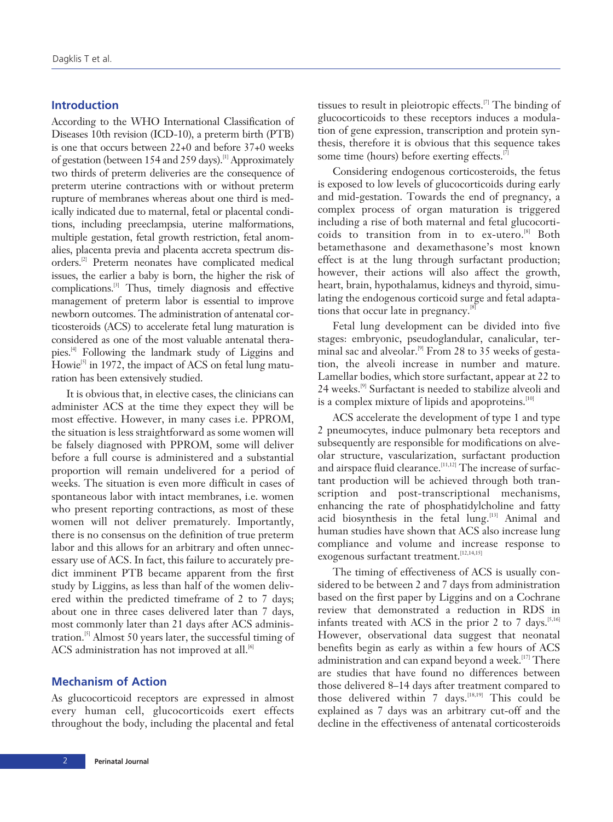# **Introduction**

According to the WHO International Classification of Diseases 10th revision (ICD-10), a preterm birth (PTB) is one that occurs between 22+0 and before 37+0 weeks of gestation (between 154 and 259 days).<sup>[1]</sup> Approximately two thirds of preterm deliveries are the consequence of preterm uterine contractions with or without preterm rupture of membranes whereas about one third is medically indicated due to maternal, fetal or placental conditions, including preeclampsia, uterine malformations, multiple gestation, fetal growth restriction, fetal anomalies, placenta previa and placenta accreta spectrum disorders.[2] Preterm neonates have complicated medical issues, the earlier a baby is born, the higher the risk of complications.[3] Thus, timely diagnosis and effective management of preterm labor is essential to improve newborn outcomes. The administration of antenatal corticosteroids (ACS) to accelerate fetal lung maturation is considered as one of the most valuable antenatal therapies.[4] Following the landmark study of Liggins and Howie<sup>[5]</sup> in 1972, the impact of ACS on fetal lung maturation has been extensively studied.

It is obvious that, in elective cases, the clinicians can administer ACS at the time they expect they will be most effective. However, in many cases i.e. PPROM, the situation is less straightforward as some women will be falsely diagnosed with PPROM, some will deliver before a full course is administered and a substantial proportion will remain undelivered for a period of weeks. The situation is even more difficult in cases of spontaneous labor with intact membranes, i.e. women who present reporting contractions, as most of these women will not deliver prematurely. Importantly, there is no consensus on the definition of true preterm labor and this allows for an arbitrary and often unnecessary use of ACS. In fact, this failure to accurately predict imminent PTB became apparent from the first study by Liggins, as less than half of the women delivered within the predicted timeframe of 2 to 7 days; about one in three cases delivered later than 7 days, most commonly later than 21 days after ACS administration.[5] Almost 50 years later, the successful timing of ACS administration has not improved at all.<sup>[6]</sup>

## **Mechanism of Action**

As glucocorticoid receptors are expressed in almost every human cell, glucocorticoids exert effects throughout the body, including the placental and fetal tissues to result in pleiotropic effects.<sup>[7]</sup> The binding of glucocorticoids to these receptors induces a modulation of gene expression, transcription and protein synthesis, therefore it is obvious that this sequence takes some time (hours) before exerting effects.<sup>[7]</sup>

Considering endogenous corticosteroids, the fetus is exposed to low levels of glucocorticoids during early and mid-gestation. Towards the end of pregnancy, a complex process of organ maturation is triggered including a rise of both maternal and fetal glucocorticoids to transition from in to ex-utero.[8] Both betamethasone and dexamethasone's most known effect is at the lung through surfactant production; however, their actions will also affect the growth, heart, brain, hypothalamus, kidneys and thyroid, simulating the endogenous corticoid surge and fetal adaptations that occur late in pregnancy.<sup>[8]</sup>

Fetal lung development can be divided into five stages: embryonic, pseudoglandular, canalicular, terminal sac and alveolar.<sup>[9]</sup> From 28 to 35 weeks of gestation, the alveoli increase in number and mature. Lamellar bodies, which store surfactant, appear at 22 to 24 weeks.[9] Surfactant is needed to stabilize alveoli and is a complex mixture of lipids and apoproteins.<sup>[10]</sup>

ACS accelerate the development of type 1 and type 2 pneumocytes, induce pulmonary beta receptors and subsequently are responsible for modifications on alveolar structure, vascularization, surfactant production and airspace fluid clearance.<sup>[11,12]</sup> The increase of surfactant production will be achieved through both transcription and post-transcriptional mechanisms, enhancing the rate of phosphatidylcholine and fatty acid biosynthesis in the fetal lung.<sup>[13]</sup> Animal and human studies have shown that ACS also increase lung compliance and volume and increase response to exogenous surfactant treatment.<sup>[12,14,15]</sup>

The timing of effectiveness of ACS is usually considered to be between 2 and 7 days from administration based on the first paper by Liggins and on a Cochrane review that demonstrated a reduction in RDS in infants treated with ACS in the prior 2 to 7 days.<sup>[5,16]</sup> However, observational data suggest that neonatal benefits begin as early as within a few hours of ACS administration and can expand beyond a week. $[17]$  There are studies that have found no differences between those delivered 8–14 days after treatment compared to those delivered within  $7$  days.<sup>[18,19]</sup> This could be explained as 7 days was an arbitrary cut-off and the decline in the effectiveness of antenatal corticosteroids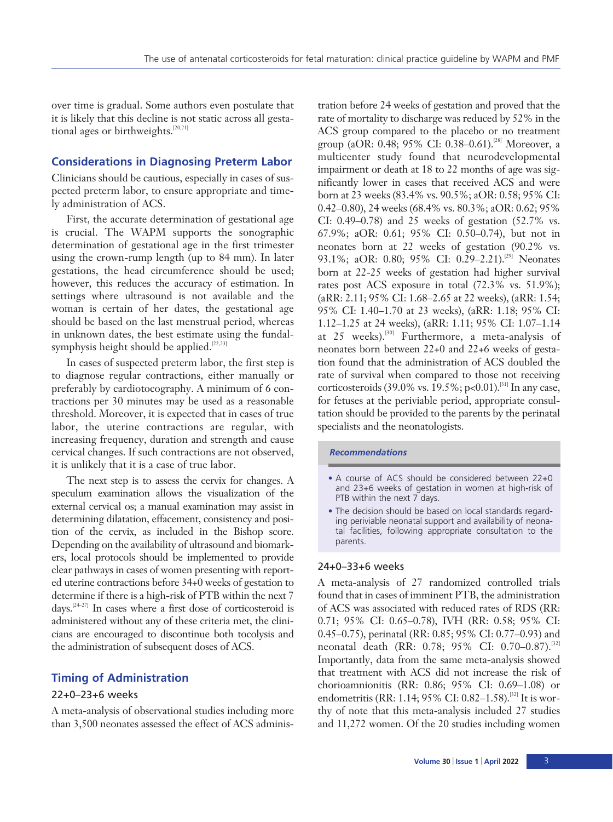over time is gradual. Some authors even postulate that it is likely that this decline is not static across all gestational ages or birthweights.<sup>[20,21]</sup>

# **Considerations in Diagnosing Preterm Labor**

Clinicians should be cautious, especially in cases of suspected preterm labor, to ensure appropriate and timely administration of ACS.

First, the accurate determination of gestational age is crucial. The WAPM supports the sonographic determination of gestational age in the first trimester using the crown-rump length (up to 84 mm). In later gestations, the head circumference should be used; however, this reduces the accuracy of estimation. In settings where ultrasound is not available and the woman is certain of her dates, the gestational age should be based on the last menstrual period, whereas in unknown dates, the best estimate using the fundalsymphysis height should be applied.<sup>[22,23]</sup>

In cases of suspected preterm labor, the first step is to diagnose regular contractions, either manually or preferably by cardiotocography. A minimum of 6 contractions per 30 minutes may be used as a reasonable threshold. Moreover, it is expected that in cases of true labor, the uterine contractions are regular, with increasing frequency, duration and strength and cause cervical changes. If such contractions are not observed, it is unlikely that it is a case of true labor.

The next step is to assess the cervix for changes. A speculum examination allows the visualization of the external cervical os; a manual examination may assist in determining dilatation, effacement, consistency and position of the cervix, as included in the Bishop score. Depending on the availability of ultrasound and biomarkers, local protocols should be implemented to provide clear pathways in cases of women presenting with reported uterine contractions before 34+0 weeks of gestation to determine if there is a high-risk of PTB within the next 7 days. $[24-27]$  In cases where a first dose of corticosteroid is administered without any of these criteria met, the clinicians are encouraged to discontinue both tocolysis and the administration of subsequent doses of ACS.

# **Timing of Administration**

# 22+0–23+6 weeks

A meta-analysis of observational studies including more than 3,500 neonates assessed the effect of ACS adminis-

tration before 24 weeks of gestation and proved that the rate of mortality to discharge was reduced by 52% in the ACS group compared to the placebo or no treatment group (aOR: 0.48; 95% CI: 0.38–0.61).<sup>[28]</sup> Moreover, a multicenter study found that neurodevelopmental impairment or death at 18 to 22 months of age was significantly lower in cases that received ACS and were born at 23 weeks (83.4% vs. 90.5%; aOR: 0.58; 95% CI: 0.42–0.80), 24 weeks (68.4% vs. 80.3%; aOR: 0.62; 95% CI: 0.49–0.78) and 25 weeks of gestation (52.7% vs. 67.9%; aOR: 0.61; 95% CI: 0.50–0.74), but not in neonates born at 22 weeks of gestation (90.2% vs. 93.1%; aOR: 0.80; 95% CI: 0.29–2.21).<sup>[29]</sup> Neonates born at 22-25 weeks of gestation had higher survival rates post ACS exposure in total (72.3% vs. 51.9%); (aRR: 2.11; 95% CI: 1.68–2.65 at 22 weeks), (aRR: 1.54; 95% CI: 1.40–1.70 at 23 weeks), (aRR: 1.18; 95% CI: 1.12–1.25 at 24 weeks), (aRR: 1.11; 95% CI: 1.07–1.14 at 25 weeks).<sup>[30]</sup> Furthermore, a meta-analysis of neonates born between 22+0 and 22+6 weeks of gestation found that the administration of ACS doubled the rate of survival when compared to those not receiving corticosteroids (39.0% vs. 19.5%; p<0.01).<sup>[31]</sup> In any case, for fetuses at the periviable period, appropriate consultation should be provided to the parents by the perinatal specialists and the neonatologists.

#### *Recommendations*

- A course of ACS should be considered between 22+0 and 23+6 weeks of gestation in women at high-risk of PTB within the next 7 days.
- The decision should be based on local standards regarding periviable neonatal support and availability of neonatal facilities, following appropriate consultation to the parents.

# 24+0–33+6 weeks

A meta-analysis of 27 randomized controlled trials found that in cases of imminent PTB, the administration of ACS was associated with reduced rates of RDS (RR: 0.71; 95% CI: 0.65–0.78), IVH (RR: 0.58; 95% CI: 0.45–0.75), perinatal (RR: 0.85; 95% CI: 0.77–0.93) and neonatal death (RR: 0.78; 95% CI: 0.70-0.87).<sup>[32]</sup> Importantly, data from the same meta-analysis showed that treatment with ACS did not increase the risk of chorioamnionitis (RR: 0.86; 95% CI: 0.69–1.08) or endometritis (RR: 1.14; 95% CI: 0.82-1.58).<sup>[32]</sup> It is worthy of note that this meta-analysis included 27 studies and 11,272 women. Of the 20 studies including women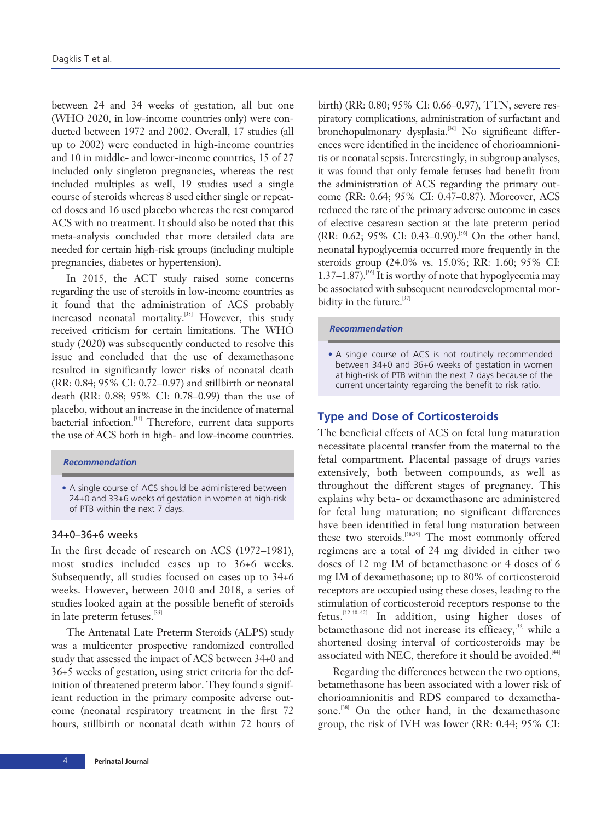between 24 and 34 weeks of gestation, all but one (WHO 2020, in low-income countries only) were conducted between 1972 and 2002. Overall, 17 studies (all up to 2002) were conducted in high-income countries and 10 in middle- and lower-income countries, 15 of 27 included only singleton pregnancies, whereas the rest included multiples as well, 19 studies used a single course of steroids whereas 8 used either single or repeated doses and 16 used placebo whereas the rest compared ACS with no treatment. It should also be noted that this meta-analysis concluded that more detailed data are needed for certain high-risk groups (including multiple pregnancies, diabetes or hypertension).

In 2015, the ACT study raised some concerns regarding the use of steroids in low-income countries as it found that the administration of ACS probably increased neonatal mortality.<sup>[33]</sup> However, this study received criticism for certain limitations. The WHO study (2020) was subsequently conducted to resolve this issue and concluded that the use of dexamethasone resulted in significantly lower risks of neonatal death (RR: 0.84; 95% CI: 0.72–0.97) and stillbirth or neonatal death (RR: 0.88; 95% CI: 0.78–0.99) than the use of placebo, without an increase in the incidence of maternal bacterial infection.[34] Therefore, current data supports the use of ACS both in high- and low-income countries.

#### *Recommendation*

# 34+0–36+6 weeks

In the first decade of research on ACS (1972–1981), most studies included cases up to 36+6 weeks. Subsequently, all studies focused on cases up to 34+6 weeks. However, between 2010 and 2018, a series of studies looked again at the possible benefit of steroids in late preterm fetuses.<sup>[35]</sup>

The Antenatal Late Preterm Steroids (ALPS) study was a multicenter prospective randomized controlled study that assessed the impact of ACS between 34+0 and 36+5 weeks of gestation, using strict criteria for the definition of threatened preterm labor. They found a significant reduction in the primary composite adverse outcome (neonatal respiratory treatment in the first 72 hours, stillbirth or neonatal death within 72 hours of birth) (RR: 0.80; 95% CI: 0.66–0.97), TTN, severe respiratory complications, administration of surfactant and bronchopulmonary dysplasia.<sup>[36]</sup> No significant differences were identified in the incidence of chorioamnionitis or neonatal sepsis. Interestingly, in subgroup analyses, it was found that only female fetuses had benefit from the administration of ACS regarding the primary outcome (RR: 0.64; 95% CI: 0.47–0.87). Moreover, ACS reduced the rate of the primary adverse outcome in cases of elective cesarean section at the late preterm period (RR: 0.62; 95% CI: 0.43–0.90).[36] On the other hand, neonatal hypoglycemia occurred more frequently in the steroids group (24.0% vs. 15.0%; RR: 1.60; 95% CI: 1.37–1.87).<sup>[36]</sup> It is worthy of note that hypoglycemia may be associated with subsequent neurodevelopmental morbidity in the future.<sup>[37]</sup>

#### *Recommendation*

• A single course of ACS is not routinely recommended between 34+0 and 36+6 weeks of gestation in women at high-risk of PTB within the next 7 days because of the current uncertainty regarding the benefit to risk ratio.

# **Type and Dose of Corticosteroids**

The beneficial effects of ACS on fetal lung maturation necessitate placental transfer from the maternal to the fetal compartment. Placental passage of drugs varies extensively, both between compounds, as well as throughout the different stages of pregnancy. This explains why beta- or dexamethasone are administered for fetal lung maturation; no significant differences have been identified in fetal lung maturation between these two steroids.<sup>[38,39]</sup> The most commonly offered regimens are a total of 24 mg divided in either two doses of 12 mg IM of betamethasone or 4 doses of 6 mg IM of dexamethasone; up to 80% of corticosteroid receptors are occupied using these doses, leading to the stimulation of corticosteroid receptors response to the fetus.[12,40–42] In addition, using higher doses of betamethasone did not increase its efficacy,<sup>[43]</sup> while a shortened dosing interval of corticosteroids may be associated with NEC, therefore it should be avoided.<sup>[44]</sup>

Regarding the differences between the two options, betamethasone has been associated with a lower risk of chorioamnionitis and RDS compared to dexamethasone.<sup>[38]</sup> On the other hand, in the dexamethasone group, the risk of IVH was lower (RR: 0.44; 95% CI:

<sup>•</sup> A single course of ACS should be administered between 24+0 and 33+6 weeks of gestation in women at high-risk of PTB within the next 7 days.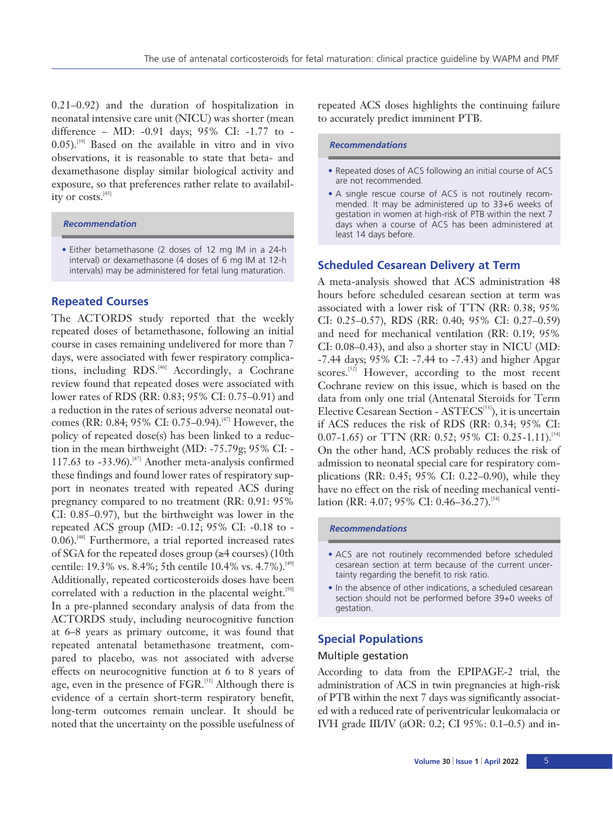0.21–0.92) and the duration of hospitalization in neonatal intensive care unit (NICU) was shorter (mean difference – MD: -0.91 days; 95% CI: -1.77 to -  $0.05$ ).<sup>[39]</sup> Based on the available in vitro and in vivo observations, it is reasonable to state that beta- and dexamethasone display similar biological activity and exposure, so that preferences rather relate to availability or costs.<sup>[45]</sup>

#### *Recommendation*

• Either betamethasone (2 doses of 12 mg IM in a 24-h interval) or dexamethasone (4 doses of 6 mg IM at 12-h intervals) may be administered for fetal lung maturation.

# **Repeated Courses**

The ACTORDS study reported that the weekly repeated doses of betamethasone, following an initial course in cases remaining undelivered for more than 7 days, were associated with fewer respiratory complications, including  $RDS<sup>[46]</sup>$  Accordingly, a Cochrane review found that repeated doses were associated with lower rates of RDS (RR: 0.83; 95% CI: 0.75–0.91) and a reduction in the rates of serious adverse neonatal outcomes (RR: 0.84; 95% CI: 0.75–0.94).[47] However, the policy of repeated dose(s) has been linked to a reduction in the mean birthweight (MD: -75.79g; 95% CI: - 117.63 to  $-33.96$ .<sup>[47]</sup> Another meta-analysis confirmed these findings and found lower rates of respiratory support in neonates treated with repeated ACS during pregnancy compared to no treatment (RR: 0.91: 95% CI: 0.85–0.97), but the birthweight was lower in the repeated ACS group (MD: -0.12; 95% CI: -0.18 to - 0.06).<sup>[48]</sup> Furthermore, a trial reported increased rates of SGA for the repeated doses group (≥4 courses) (10th centile: 19.3% vs. 8.4%; 5th centile 10.4% vs. 4.7%).<sup>[49]</sup> Additionally, repeated corticosteroids doses have been correlated with a reduction in the placental weight.<sup>[50]</sup> In a pre-planned secondary analysis of data from the ACTORDS study, including neurocognitive function at 6–8 years as primary outcome, it was found that repeated antenatal betamethasone treatment, compared to placebo, was not associated with adverse effects on neurocognitive function at 6 to 8 years of age, even in the presence of FGR.<sup>[51]</sup> Although there is evidence of a certain short-term respiratory benefit, long-term outcomes remain unclear. It should be noted that the uncertainty on the possible usefulness of repeated ACS doses highlights the continuing failure to accurately predict imminent PTB.

#### *Recommendations*

- Repeated doses of ACS following an initial course of ACS are not recommended.
- A single rescue course of ACS is not routinely recommended. It may be administered up to 33+6 weeks of gestation in women at high-risk of PTB within the next 7 days when a course of ACS has been administered at least 14 days before.

# **Scheduled Cesarean Delivery at Term**

A meta-analysis showed that ACS administration 48 hours before scheduled cesarean section at term was associated with a lower risk of TTN (RR: 0.38; 95% CI: 0.25–0.57), RDS (RR: 0.40; 95% CI: 0.27–0.59) and need for mechanical ventilation (RR: 0.19; 95% CI: 0.08–0.43), and also a shorter stay in NICU (MD: -7.44 days; 95% CI: -7.44 to -7.43) and higher Apgar scores.<sup>[52]</sup> However, according to the most recent Cochrane review on this issue, which is based on the data from only one trial (Antenatal Steroids for Term Elective Cesarean Section - ASTECS<sup>[53]</sup>), it is uncertain if ACS reduces the risk of RDS (RR: 0.34; 95% CI: 0.07-1.65) or TTN (RR: 0.52; 95% CI: 0.25-1.11).<sup>[54]</sup> On the other hand, ACS probably reduces the risk of admission to neonatal special care for respiratory complications (RR: 0.45; 95% CI: 0.22–0.90), while they have no effect on the risk of needing mechanical ventilation (RR: 4.07; 95% CI: 0.46–36.27).<sup>[54]</sup>

# *Recommendations*

- ACS are not routinely recommended before scheduled cesarean section at term because of the current uncertainty regarding the benefit to risk ratio.
- In the absence of other indications, a scheduled cesarean section should not be performed before 39+0 weeks of gestation.

# **Special Populations**

#### Multiple gestation

According to data from the EPIPAGE-2 trial, the administration of ACS in twin pregnancies at high-risk of PTB within the next 7 days was significantly associated with a reduced rate of periventricular leukomalacia or IVH grade III/IV (aOR: 0.2; CI 95%: 0.1–0.5) and in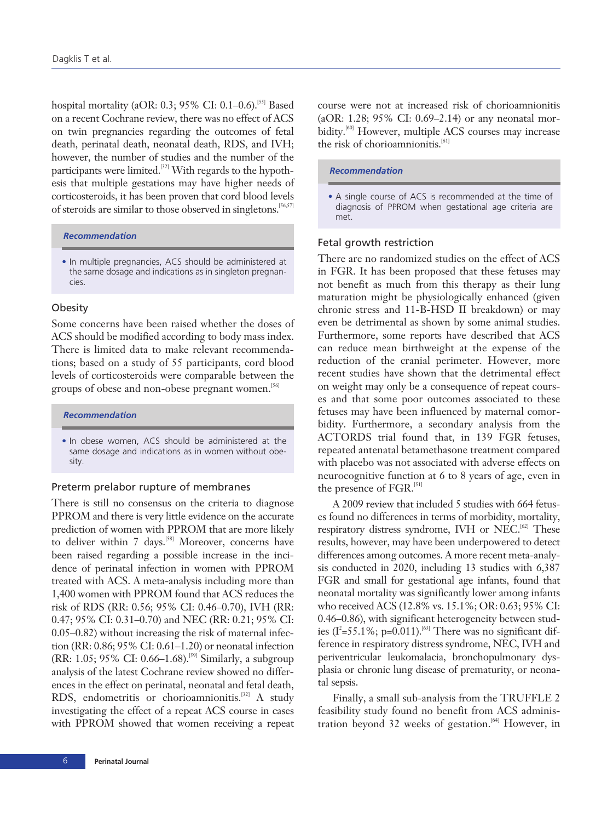hospital mortality (aOR: 0.3; 95% CI: 0.1-0.6).<sup>[55]</sup> Based on a recent Cochrane review, there was no effect of ACS on twin pregnancies regarding the outcomes of fetal death, perinatal death, neonatal death, RDS, and IVH; however, the number of studies and the number of the participants were limited.<sup>[32]</sup> With regards to the hypothesis that multiple gestations may have higher needs of corticosteroids, it has been proven that cord blood levels of steroids are similar to those observed in singletons.[56,57]

# *Recommendation*

• In multiple pregnancies, ACS should be administered at the same dosage and indications as in singleton pregnancies.

#### **Obesity**

Some concerns have been raised whether the doses of ACS should be modified according to body mass index. There is limited data to make relevant recommendations; based on a study of 55 participants, cord blood levels of corticosteroids were comparable between the groups of obese and non-obese pregnant women.<sup>[56]</sup>

#### *Recommendation*

• In obese women, ACS should be administered at the same dosage and indications as in women without obesity.

#### Preterm prelabor rupture of membranes

There is still no consensus on the criteria to diagnose PPROM and there is very little evidence on the accurate prediction of women with PPROM that are more likely to deliver within 7 days.<sup>[58]</sup> Moreover, concerns have been raised regarding a possible increase in the incidence of perinatal infection in women with PPROM treated with ACS. A meta-analysis including more than 1,400 women with PPROM found that ACS reduces the risk of RDS (RR: 0.56; 95% CI: 0.46–0.70), IVH (RR: 0.47; 95% CI: 0.31–0.70) and NEC (RR: 0.21; 95% CI: 0.05–0.82) without increasing the risk of maternal infection (RR: 0.86; 95% CI: 0.61–1.20) or neonatal infection (RR: 1.05; 95% CI: 0.66–1.68).<sup>[59]</sup> Similarly, a subgroup analysis of the latest Cochrane review showed no differences in the effect on perinatal, neonatal and fetal death, RDS, endometritis or chorioamnionitis.<sup>[32]</sup> A study investigating the effect of a repeat ACS course in cases with PPROM showed that women receiving a repeat

# *Recommendation*

#### Fetal growth restriction

There are no randomized studies on the effect of ACS in FGR. It has been proposed that these fetuses may not benefit as much from this therapy as their lung maturation might be physiologically enhanced (given chronic stress and 11-B-HSD II breakdown) or may even be detrimental as shown by some animal studies. Furthermore, some reports have described that ACS can reduce mean birthweight at the expense of the reduction of the cranial perimeter. However, more recent studies have shown that the detrimental effect on weight may only be a consequence of repeat courses and that some poor outcomes associated to these fetuses may have been influenced by maternal comorbidity. Furthermore, a secondary analysis from the ACTORDS trial found that, in 139 FGR fetuses, repeated antenatal betamethasone treatment compared with placebo was not associated with adverse effects on neurocognitive function at 6 to 8 years of age, even in the presence of FGR.<sup>[51]</sup>

A 2009 review that included 5 studies with 664 fetuses found no differences in terms of morbidity, mortality, respiratory distress syndrome, IVH or NEC.<sup>[62]</sup> These results, however, may have been underpowered to detect differences among outcomes. A more recent meta-analysis conducted in 2020, including 13 studies with 6,387 FGR and small for gestational age infants, found that neonatal mortality was significantly lower among infants who received ACS (12.8% vs. 15.1%; OR: 0.63; 95% CI: 0.46–0.86), with significant heterogeneity between studies ( $I^2$ =55.1%; p=0.011).<sup>[63]</sup> There was no significant difference in respiratory distress syndrome, NEC, IVH and periventricular leukomalacia, bronchopulmonary dysplasia or chronic lung disease of prematurity, or neonatal sepsis.

Finally, a small sub-analysis from the TRUFFLE 2 feasibility study found no benefit from ACS administration beyond 32 weeks of gestation.<sup>[64]</sup> However, in

<sup>•</sup> A single course of ACS is recommended at the time of diagnosis of PPROM when gestational age criteria are met.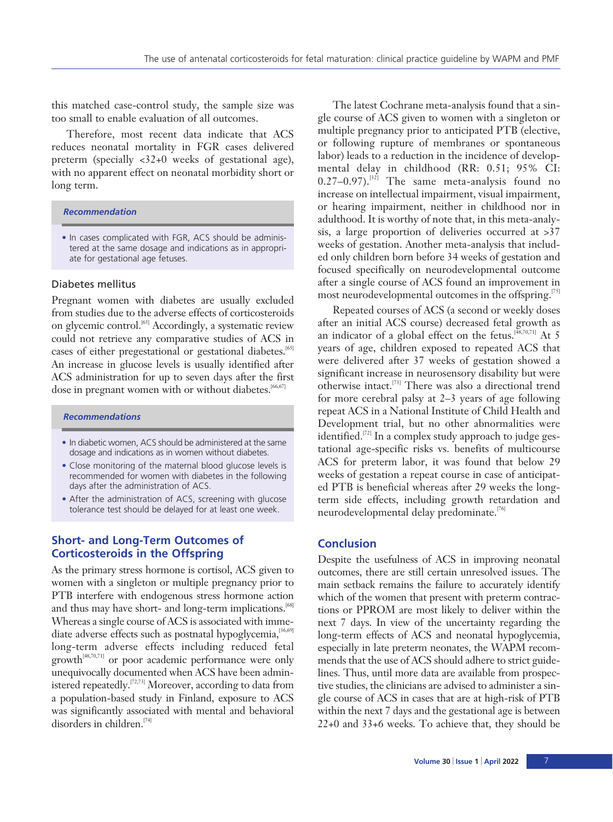this matched case-control study, the sample size was too small to enable evaluation of all outcomes.

Therefore, most recent data indicate that ACS reduces neonatal mortality in FGR cases delivered preterm (specially <32+0 weeks of gestational age), with no apparent effect on neonatal morbidity short or long term.

## *Recommendation*

• In cases complicated with FGR, ACS should be administered at the same dosage and indications as in appropriate for gestational age fetuses.

#### Diabetes mellitus

Pregnant women with diabetes are usually excluded from studies due to the adverse effects of corticosteroids on glycemic control.[65] Accordingly, a systematic review could not retrieve any comparative studies of ACS in cases of either pregestational or gestational diabetes.<sup>[65]</sup> An increase in glucose levels is usually identified after ACS administration for up to seven days after the first dose in pregnant women with or without diabetes.<sup>[66,67]</sup>

#### *Recommendations*

- In diabetic women, ACS should be administered at the same dosage and indications as in women without diabetes.
- Close monitoring of the maternal blood glucose levels is recommended for women with diabetes in the following days after the administration of ACS.
- After the administration of ACS, screening with glucose tolerance test should be delayed for at least one week.

# **Short- and Long-Term Outcomes of Corticosteroids in the Offspring**

As the primary stress hormone is cortisol, ACS given to women with a singleton or multiple pregnancy prior to PTB interfere with endogenous stress hormone action and thus may have short- and long-term implications.<sup>[68]</sup> Whereas a single course of ACS is associated with immediate adverse effects such as postnatal hypoglycemia, [36,69] long-term adverse effects including reduced fetal growth[48,70,71] or poor academic performance were only unequivocally documented when ACS have been administered repeatedly.<sup>[72,73]</sup> Moreover, according to data from a population-based study in Finland, exposure to ACS was significantly associated with mental and behavioral disorders in children.<sup>[74]</sup>

The latest Cochrane meta-analysis found that a single course of ACS given to women with a singleton or multiple pregnancy prior to anticipated PTB (elective, or following rupture of membranes or spontaneous labor) leads to a reduction in the incidence of developmental delay in childhood (RR: 0.51; 95% CI:  $0.27-0.97$ ).<sup>[32]</sup> The same meta-analysis found no increase on intellectual impairment, visual impairment, or hearing impairment, neither in childhood nor in adulthood. It is worthy of note that, in this meta-analysis, a large proportion of deliveries occurred at >37 weeks of gestation. Another meta-analysis that included only children born before 34 weeks of gestation and focused specifically on neurodevelopmental outcome after a single course of ACS found an improvement in most neurodevelopmental outcomes in the offspring.<sup>[75]</sup>

Repeated courses of ACS (a second or weekly doses after an initial ACS course) decreased fetal growth as an indicator of a global effect on the fetus. $[48,70,71]$  At 5 years of age, children exposed to repeated ACS that were delivered after 37 weeks of gestation showed a significant increase in neurosensory disability but were otherwise intact.[73] There was also a directional trend for more cerebral palsy at 2–3 years of age following repeat ACS in a National Institute of Child Health and Development trial, but no other abnormalities were identified.<sup>[72]</sup> In a complex study approach to judge gestational age-specific risks vs. benefits of multicourse ACS for preterm labor, it was found that below 29 weeks of gestation a repeat course in case of anticipated PTB is beneficial whereas after 29 weeks the longterm side effects, including growth retardation and neurodevelopmental delay predominate.<sup>[76]</sup>

# **Conclusion**

Despite the usefulness of ACS in improving neonatal outcomes, there are still certain unresolved issues. The main setback remains the failure to accurately identify which of the women that present with preterm contractions or PPROM are most likely to deliver within the next 7 days. In view of the uncertainty regarding the long-term effects of ACS and neonatal hypoglycemia, especially in late preterm neonates, the WAPM recommends that the use of ACS should adhere to strict guidelines. Thus, until more data are available from prospective studies, the clinicians are advised to administer a single course of ACS in cases that are at high-risk of PTB within the next 7 days and the gestational age is between 22+0 and 33+6 weeks. To achieve that, they should be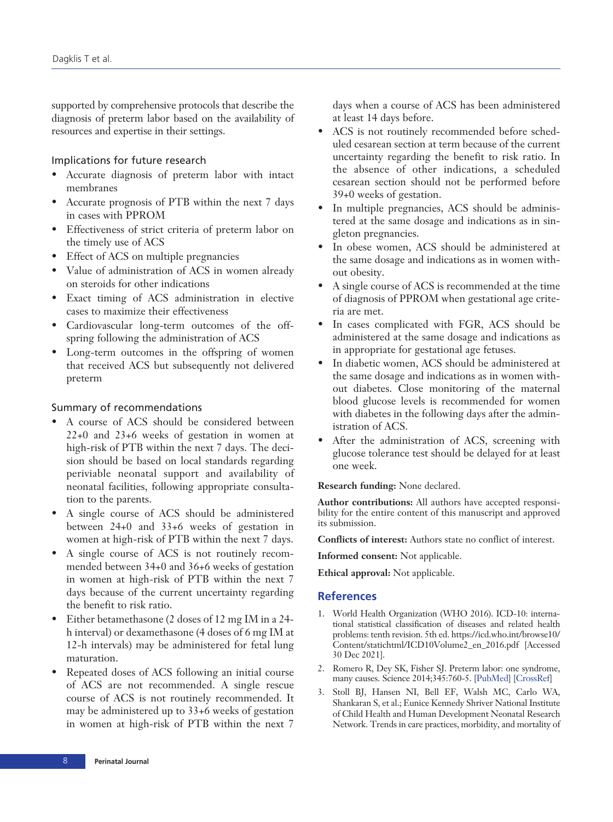supported by comprehensive protocols that describe the diagnosis of preterm labor based on the availability of resources and expertise in their settings.

# Implications for future research

- Accurate diagnosis of preterm labor with intact membranes
- Accurate prognosis of PTB within the next 7 days in cases with PPROM
- Effectiveness of strict criteria of preterm labor on the timely use of ACS
- Effect of ACS on multiple pregnancies
- Value of administration of ACS in women already on steroids for other indications
- Exact timing of ACS administration in elective cases to maximize their effectiveness
- Cardiovascular long-term outcomes of the offspring following the administration of ACS
- Long-term outcomes in the offspring of women that received ACS but subsequently not delivered preterm

#### Summary of recommendations

- A course of ACS should be considered between 22+0 and 23+6 weeks of gestation in women at high-risk of PTB within the next 7 days. The decision should be based on local standards regarding periviable neonatal support and availability of neonatal facilities, following appropriate consultation to the parents.
- A single course of ACS should be administered between 24+0 and 33+6 weeks of gestation in women at high-risk of PTB within the next 7 days.
- A single course of ACS is not routinely recommended between 34+0 and 36+6 weeks of gestation in women at high-risk of PTB within the next 7 days because of the current uncertainty regarding the benefit to risk ratio.
- Either betamethasone (2 doses of 12 mg IM in a 24 h interval) or dexamethasone (4 doses of 6 mg IM at 12-h intervals) may be administered for fetal lung maturation.
- Repeated doses of ACS following an initial course of ACS are not recommended. A single rescue course of ACS is not routinely recommended. It may be administered up to 33+6 weeks of gestation in women at high-risk of PTB within the next 7

days when a course of ACS has been administered at least 14 days before.

- ACS is not routinely recommended before scheduled cesarean section at term because of the current uncertainty regarding the benefit to risk ratio. In the absence of other indications, a scheduled cesarean section should not be performed before 39+0 weeks of gestation.
- In multiple pregnancies, ACS should be administered at the same dosage and indications as in singleton pregnancies.
- In obese women, ACS should be administered at the same dosage and indications as in women without obesity.
- A single course of ACS is recommended at the time of diagnosis of PPROM when gestational age criteria are met.
- In cases complicated with FGR, ACS should be administered at the same dosage and indications as in appropriate for gestational age fetuses.
- In diabetic women, ACS should be administered at the same dosage and indications as in women without diabetes. Close monitoring of the maternal blood glucose levels is recommended for women with diabetes in the following days after the administration of ACS.
- After the administration of ACS, screening with glucose tolerance test should be delayed for at least one week.

#### **Research funding:** None declared.

**Author contributions:** All authors have accepted responsibility for the entire content of this manuscript and approved its submission.

**Conflicts of interest:** Authors state no conflict of interest.

**Informed consent:** Not applicable.

**Ethical approval:** Not applicable.

## **References**

- 1. World Health Organization (WHO 2016). ICD-10: international statistical classification of diseases and related health problems: tenth revision. 5th ed. https://icd.who.int/browse10/ Content/statichtml/ICD10Volume2\_en\_2016.pdf [Accessed 30 Dec 2021].
- 2. Romero R, Dey SK, Fisher SJ. Preterm labor: one syndrome, many causes. Science 2014;345:760-5. [\[PubMed\]](http://www.ncbi.nlm.nih.gov/pubmed/25124429) [[CrossRef\]](http://dx.doi.org/10.1126/science.1251816)
- 3. Stoll BJ, Hansen NI, Bell EF, Walsh MC, Carlo WA, Shankaran S, et al.; Eunice Kennedy Shriver National Institute of Child Health and Human Development Neonatal Research Network. Trends in care practices, morbidity, and mortality of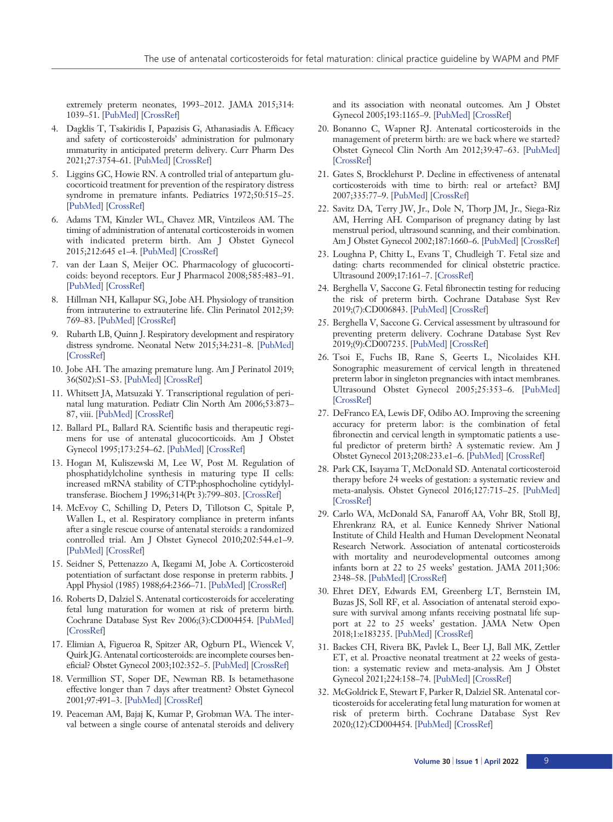extremely preterm neonates, 1993–2012. JAMA 2015;314: 1039–51. [[PubMed\]](http://www.ncbi.nlm.nih.gov/pubmed/26348753) [\[CrossRef\]](http://dx.doi.org/10.1001/jama.2015.10244)

- 4. Dagklis T, Tsakiridis I, Papazisis G, Athanasiadis A. Efficacy and safety of corticosteroids' administration for pulmonary immaturity in anticipated preterm delivery. Curr Pharm Des 2021;27:3754–61. [[PubMed](http://www.ncbi.nlm.nih.gov/pubmed/33423644)] [\[CrossRef](http://dx.doi.org/10.2174/1381612826666201207102910)]
- 5. Liggins GC, Howie RN. A controlled trial of antepartum glucocorticoid treatment for prevention of the respiratory distress syndrome in premature infants. Pediatrics 1972;50:515–25. [[PubMed](http://www.ncbi.nlm.nih.gov/pubmed/4561295)] [\[CrossRef\]](http://dx.doi.org/10.1542/peds.50.4.515)
- 6. Adams TM, Kinzler WL, Chavez MR, Vintzileos AM. The timing of administration of antenatal corticosteroids in women with indicated preterm birth. Am J Obstet Gynecol 2015;212:645 e1–4. [\[PubMed](http://www.ncbi.nlm.nih.gov/pubmed/25460843)] [\[CrossRef\]](http://dx.doi.org/10.1016/j.ajog.2014.11.021)
- 7. van der Laan S, Meijer OC. Pharmacology of glucocorticoids: beyond receptors. Eur J Pharmacol 2008;585:483–91. [[PubMed](http://www.ncbi.nlm.nih.gov/pubmed/18410913)] [\[CrossRef\]](http://dx.doi.org/10.1016/j.ejphar.2008.01.060)
- 8. Hillman NH, Kallapur SG, Jobe AH. Physiology of transition from intrauterine to extrauterine life. Clin Perinatol 2012;39: 769–83. [[PubMed\]](http://www.ncbi.nlm.nih.gov/pubmed/23164177) [\[CrossRef](http://dx.doi.org/10.1016/j.clp.2012.09.009)]
- 9. Rubarth LB, Quinn J. Respiratory development and respiratory distress syndrome. Neonatal Netw 2015;34:231–8. [[PubMed\]](http://www.ncbi.nlm.nih.gov/pubmed/26802638) [[CrossRef\]](http://dx.doi.org/10.1891/0730-0832.34.4.231)
- 10. Jobe AH. The amazing premature lung. Am J Perinatol 2019; 36(S02):S1–S3. [\[PubMed](http://www.ncbi.nlm.nih.gov/pubmed/31238349)] [\[CrossRef\]](http://dx.doi.org/10.1055/s-0039-1691768)
- 11. Whitsett JA, Matsuzaki Y. Transcriptional regulation of perinatal lung maturation. Pediatr Clin North Am 2006;53:873– 87, viii. [[PubMed\]](http://www.ncbi.nlm.nih.gov/pubmed/17027615) [\[CrossRef](http://dx.doi.org/10.1016/j.pcl.2006.08.009)]
- 12. Ballard PL, Ballard RA. Scientific basis and therapeutic regimens for use of antenatal glucocorticoids. Am J Obstet Gynecol 1995;173:254–62. [[PubMed\]](http://www.ncbi.nlm.nih.gov/pubmed/7631700) [\[CrossRef](http://dx.doi.org/10.1016/0002-9378(95)90210-4)]
- 13. Hogan M, Kuliszewski M, Lee W, Post M. Regulation of phosphatidylcholine synthesis in maturing type II cells: increased mRNA stability of CTP:phosphocholine cytidylyltransferase. Biochem J 1996;314(Pt 3):799–803. [[CrossRef\]](http://dx.doi.org/10.1042/bj3140799)
- 14. McEvoy C, Schilling D, Peters D, Tillotson C, Spitale P, Wallen L, et al. Respiratory compliance in preterm infants after a single rescue course of antenatal steroids: a randomized controlled trial. Am J Obstet Gynecol 2010;202:544.e1–9. [[PubMed](http://www.ncbi.nlm.nih.gov/pubmed/20227053)] [\[CrossRef\]](http://dx.doi.org/10.1016/j.ajog.2010.01.038)
- 15. Seidner S, Pettenazzo A, Ikegami M, Jobe A. Corticosteroid potentiation of surfactant dose response in preterm rabbits. J Appl Physiol (1985) 1988;64:2366-71. [\[PubMed\]](http://www.ncbi.nlm.nih.gov/pubmed/3403420) [[CrossRef\]](http://dx.doi.org/10.1152/jappl.1988.64.6.2366)
- 16. Roberts D, Dalziel S. Antenatal corticosteroids for accelerating fetal lung maturation for women at risk of preterm birth. Cochrane Database Syst Rev 2006;(3):CD004454. [\[PubMed\]](http://www.ncbi.nlm.nih.gov/pubmed/16856047) [[CrossRef\]](http://dx.doi.org/10.1002/14651858.CD004454.pub2)
- 17. Elimian A, Figueroa R, Spitzer AR, Ogburn PL, Wiencek V, Quirk JG. Antenatal corticosteroids: are incomplete courses beneficial? Obstet Gynecol 2003;102:352–5. [\[PubMed\]](http://www.ncbi.nlm.nih.gov/pubmed/12907112) [[CrossRef\]](http://dx.doi.org/10.1016/s0029-7844(03)00485-x)
- 18. Vermillion ST, Soper DE, Newman RB. Is betamethasone effective longer than 7 days after treatment? Obstet Gynecol 2001;97:491–3. [\[PubMed\]](http://www.ncbi.nlm.nih.gov/pubmed/11275015) [[CrossRef\]](http://dx.doi.org/10.1016/s0029-7844(00)01178-9)
- 19. Peaceman AM, Bajaj K, Kumar P, Grobman WA. The interval between a single course of antenatal steroids and delivery

and its association with neonatal outcomes. Am J Obstet Gynecol 2005;193:1165–9. [\[PubMed\]](http://www.ncbi.nlm.nih.gov/pubmed/16157131) [\[CrossRef\]](http://dx.doi.org/10.1016/j.ajog.2005.06.050)

- 20. Bonanno C, Wapner RJ. Antenatal corticosteroids in the management of preterm birth: are we back where we started? Obstet Gynecol Clin North Am 2012;39:47–63. [\[PubMed](http://www.ncbi.nlm.nih.gov/pubmed/22370107)] [[CrossRef\]](http://dx.doi.org/10.1016/j.ogc.2011.12.006)
- 21. Gates S, Brocklehurst P. Decline in effectiveness of antenatal corticosteroids with time to birth: real or artefact? BMJ 2007;335:77–9. [\[PubMed](http://www.ncbi.nlm.nih.gov/pubmed/17626962)] [\[CrossRef\]](http://dx.doi.org/10.1136/bmj.39225.677708.80)
- 22. Savitz DA, Terry JW, Jr., Dole N, Thorp JM, Jr., Siega-Riz AM, Herring AH. Comparison of pregnancy dating by last menstrual period, ultrasound scanning, and their combination. Am J Obstet Gynecol 2002;187:1660–6. [\[PubMed\]](http://www.ncbi.nlm.nih.gov/pubmed/12501080) [\[CrossRef\]](http://dx.doi.org/10.1067/mob.2002.127601)
- 23. Loughna P, Chitty L, Evans T, Chudleigh T. Fetal size and dating: charts recommended for clinical obstetric practice. Ultrasound 2009;17:161–7. [[CrossRef\]](http://dx.doi.org/10.1179/174313409X448543)
- 24. Berghella V, Saccone G. Fetal fibronectin testing for reducing the risk of preterm birth. Cochrane Database Syst Rev 2019;(7):CD006843. [\[PubMed\]](http://www.ncbi.nlm.nih.gov/pubmed/31356681) [\[CrossRef\]](http://dx.doi.org/10.1002/14651858.CD006843.pub3)
- 25. Berghella V, Saccone G. Cervical assessment by ultrasound for preventing preterm delivery. Cochrane Database Syst Rev 2019;(9):CD007235. [\[PubMed\]](http://www.ncbi.nlm.nih.gov/pubmed/31553800) [\[CrossRef\]](http://dx.doi.org/10.1002/14651858.CD007235.pub4)
- 26. Tsoi E, Fuchs IB, Rane S, Geerts L, Nicolaides KH. Sonographic measurement of cervical length in threatened preterm labor in singleton pregnancies with intact membranes. Ultrasound Obstet Gynecol 2005;25:353–6. [[PubMed](http://www.ncbi.nlm.nih.gov/pubmed/15736212)] [[CrossRef\]](http://dx.doi.org/10.1002/uog.1809)
- 27. DeFranco EA, Lewis DF, Odibo AO. Improving the screening accuracy for preterm labor: is the combination of fetal fibronectin and cervical length in symptomatic patients a useful predictor of preterm birth? A systematic review. Am J Obstet Gynecol 2013;208:233.e1–6. [\[PubMed](http://www.ncbi.nlm.nih.gov/pubmed/23246314)] [[CrossRef\]](http://dx.doi.org/10.1016/j.ajog.2012.12.015)
- 28. Park CK, Isayama T, McDonald SD. Antenatal corticosteroid therapy before 24 weeks of gestation: a systematic review and meta-analysis. Obstet Gynecol 2016;127:715–25. [\[PubMed](http://www.ncbi.nlm.nih.gov/pubmed/26959200)] [[CrossRef\]](http://dx.doi.org/10.1097/AOG.0000000000001355)
- 29. Carlo WA, McDonald SA, Fanaroff AA, Vohr BR, Stoll BJ, Ehrenkranz RA, et al. Eunice Kennedy Shriver National Institute of Child Health and Human Development Neonatal Research Network. Association of antenatal corticosteroids with mortality and neurodevelopmental outcomes among infants born at 22 to 25 weeks' gestation. JAMA 2011;306: 2348–58. [[PubMed\]](http://www.ncbi.nlm.nih.gov/pubmed/22147379) [\[CrossRef](http://dx.doi.org/10.1001/jama.2011.1752)]
- 30. Ehret DEY, Edwards EM, Greenberg LT, Bernstein IM, Buzas JS, Soll RF, et al. Association of antenatal steroid exposure with survival among infants receiving postnatal life support at 22 to 25 weeks' gestation. JAMA Netw Open 2018;1:e183235. [\[PubMed](http://www.ncbi.nlm.nih.gov/pubmed/30646235)] [\[CrossRef\]](http://dx.doi.org/10.1001/jamanetworkopen.2018.3235)
- 31. Backes CH, Rivera BK, Pavlek L, Beer LJ, Ball MK, Zettler ET, et al. Proactive neonatal treatment at 22 weeks of gestation: a systematic review and meta-analysis. Am J Obstet Gynecol 2021;224:158–74. [\[PubMed\]](http://www.ncbi.nlm.nih.gov/pubmed/32745459) [\[CrossRef\]](http://dx.doi.org/10.1016/j.ajog.2020.07.051)
- 32. McGoldrick E, Stewart F, Parker R, Dalziel SR. Antenatal corticosteroids for accelerating fetal lung maturation for women at risk of preterm birth. Cochrane Database Syst Rev 2020;(12):CD004454. [[PubMed\]](http://www.ncbi.nlm.nih.gov/pubmed/33368142) [\[CrossRef](http://dx.doi.org/10.1002/14651858.CD004454.pub4)]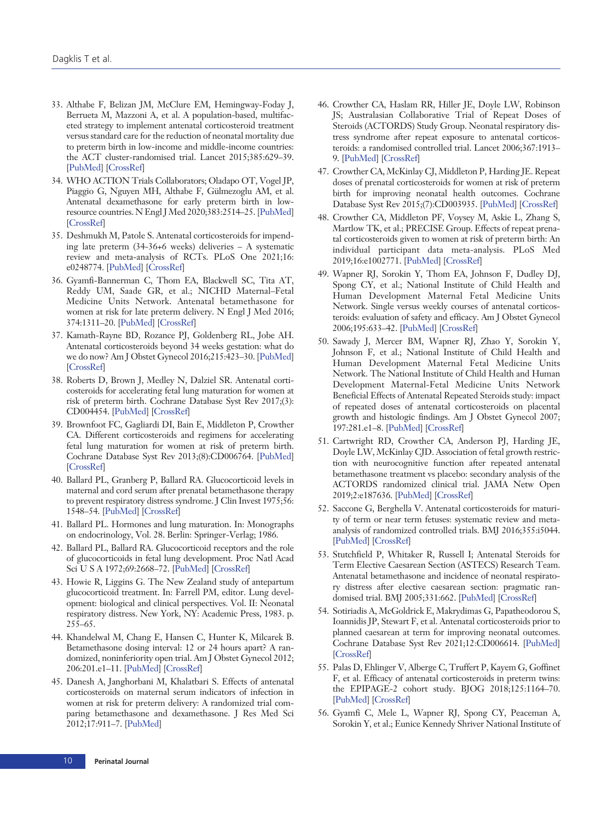- 33. Althabe F, Belizan JM, McClure EM, Hemingway-Foday J, Berrueta M, Mazzoni A, et al. A population-based, multifaceted strategy to implement antenatal corticosteroid treatment versus standard care for the reduction of neonatal mortality due to preterm birth in low-income and middle-income countries: the ACT cluster-randomised trial. Lancet 2015;385:629–39. [[PubMed](http://www.ncbi.nlm.nih.gov/pubmed/25458726)] [\[CrossRef\]](http://dx.doi.org/10.1016/S0140-6736(14)61651-2)
- 34. WHO ACTION Trials Collaborators; Oladapo OT, Vogel JP, Piaggio G, Nguyen MH, Althabe F, Gülmezoglu AM, et al. Antenatal dexamethasone for early preterm birth in lowresource countries. N Engl J Med 2020;383:2514–25. [[PubMed\]](http://www.ncbi.nlm.nih.gov/pubmed/33095526) [[CrossRef\]](http://dx.doi.org/10.1056/NEJMoa2022398)
- 35. Deshmukh M, Patole S. Antenatal corticosteroids for impending late preterm (34-36+6 weeks) deliveries – A systematic review and meta-analysis of RCTs. PLoS One 2021;16: e0248774. [\[PubMed](http://www.ncbi.nlm.nih.gov/pubmed/33750966)] [\[CrossRef\]](http://dx.doi.org/10.1371/journal.pone.0248774)
- 36. Gyamfi-Bannerman C, Thom EA, Blackwell SC, Tita AT, Reddy UM, Saade GR, et al.; NICHD Maternal–Fetal Medicine Units Network. Antenatal betamethasone for women at risk for late preterm delivery. N Engl J Med 2016; 374:1311–20. [\[PubMed](http://www.ncbi.nlm.nih.gov/pubmed/26842679)] [\[CrossRef\]](http://dx.doi.org/10.1056/NEJMoa1516783)
- 37. Kamath-Rayne BD, Rozance PJ, Goldenberg RL, Jobe AH. Antenatal corticosteroids beyond 34 weeks gestation: what do we do now? Am J Obstet Gynecol 2016;215:423–30. [\[PubMed\]](http://www.ncbi.nlm.nih.gov/pubmed/27342043) [[CrossRef\]](http://dx.doi.org/10.1016/j.ajog.2016.06.023)
- 38. Roberts D, Brown J, Medley N, Dalziel SR. Antenatal corticosteroids for accelerating fetal lung maturation for women at risk of preterm birth. Cochrane Database Syst Rev 2017;(3): CD004454. [\[PubMed\]](http://www.ncbi.nlm.nih.gov/pubmed/28321847) [[CrossRef\]](http://dx.doi.org/10.1002/14651858.CD004454.pub3)
- 39. Brownfoot FC, Gagliardi DI, Bain E, Middleton P, Crowther CA. Different corticosteroids and regimens for accelerating fetal lung maturation for women at risk of preterm birth. Cochrane Database Syst Rev 2013;(8):CD006764. [\[PubMed\]](http://www.ncbi.nlm.nih.gov/pubmed/23990333) [[CrossRef\]](http://dx.doi.org/10.1002/14651858.CD006764.pub3)
- 40. Ballard PL, Granberg P, Ballard RA. Glucocorticoid levels in maternal and cord serum after prenatal betamethasone therapy to prevent respiratory distress syndrome. J Clin Invest 1975;56: 1548–54. [\[PubMed](http://www.ncbi.nlm.nih.gov/pubmed/1202085)] [[CrossRef\]](http://dx.doi.org/10.1172/JCI108236)
- 41. Ballard PL. Hormones and lung maturation. In: Monographs on endocrinology, Vol. 28. Berlin: Springer-Verlag; 1986.
- 42. Ballard PL, Ballard RA. Glucocorticoid receptors and the role of glucocorticoids in fetal lung development. Proc Natl Acad Sci U S A 1972;69:2668–72. [\[PubMed\]](http://www.ncbi.nlm.nih.gov/pubmed/4506789) [\[CrossRef\]](http://dx.doi.org/10.1073/pnas.69.9.2668)
- 43. Howie R, Liggins G. The New Zealand study of antepartum glucocorticoid treatment. In: Farrell PM, editor. Lung development: biological and clinical perspectives. Vol. II: Neonatal respiratory distress. New York, NY: Academic Press, 1983. p. 255–65.
- 44. Khandelwal M, Chang E, Hansen C, Hunter K, Milcarek B. Betamethasone dosing interval: 12 or 24 hours apart? A randomized, noninferiority open trial. Am J Obstet Gynecol 2012; 206:201.e1–11. [[PubMed\]](http://www.ncbi.nlm.nih.gov/pubmed/22381601) [\[CrossRef](http://dx.doi.org/10.1016/j.ajog.2012.01.025)]
- 45. Danesh A, Janghorbani M, Khalatbari S. Effects of antenatal corticosteroids on maternal serum indicators of infection in women at risk for preterm delivery: A randomized trial comparing betamethasone and dexamethasone. J Res Med Sci 2012;17:911–7. [\[PubMed\]](http://www.ncbi.nlm.nih.gov/pubmed/23825988)
- 46. Crowther CA, Haslam RR, Hiller JE, Doyle LW, Robinson JS; Australasian Collaborative Trial of Repeat Doses of Steroids (ACTORDS) Study Group. Neonatal respiratory distress syndrome after repeat exposure to antenatal corticosteroids: a randomised controlled trial. Lancet 2006;367:1913– 9. [\[PubMed\]](http://www.ncbi.nlm.nih.gov/pubmed/16765760) [[CrossRef\]](http://dx.doi.org/10.1016/S0140-6736(06)68846-6)
- 47. Crowther CA, McKinlay CJ, Middleton P, Harding JE. Repeat doses of prenatal corticosteroids for women at risk of preterm birth for improving neonatal health outcomes. Cochrane Database Syst Rev 2015;(7):CD003935. [[PubMed](http://www.ncbi.nlm.nih.gov/pubmed/26142898)] [\[CrossRef](http://dx.doi.org/10.1002/14651858.CD003935.pub4)]
- 48. Crowther CA, Middleton PF, Voysey M, Askie L, Zhang S, Martlow TK, et al.; PRECISE Group. Effects of repeat prenatal corticosteroids given to women at risk of preterm birth: An individual participant data meta-analysis. PLoS Med 2019;16:e1002771. [\[PubMed\]](http://www.ncbi.nlm.nih.gov/pubmed/30978205) [\[CrossRef\]](http://dx.doi.org/10.1371/journal.pmed.1002771)
- 49. Wapner RJ, Sorokin Y, Thom EA, Johnson F, Dudley DJ, Spong CY, et al.; National Institute of Child Health and Human Development Maternal Fetal Medicine Units Network. Single versus weekly courses of antenatal corticosteroids: evaluation of safety and efficacy. Am J Obstet Gynecol 2006;195:633–42. [\[PubMed\]](http://www.ncbi.nlm.nih.gov/pubmed/16846587) [\[CrossRef\]](http://dx.doi.org/10.1016/j.ajog.2006.03.087)
- 50. Sawady J, Mercer BM, Wapner RJ, Zhao Y, Sorokin Y, Johnson F, et al.; National Institute of Child Health and Human Development Maternal Fetal Medicine Units Network. The National Institute of Child Health and Human Development Maternal-Fetal Medicine Units Network Beneficial Effects of Antenatal Repeated Steroids study: impact of repeated doses of antenatal corticosteroids on placental growth and histologic findings. Am J Obstet Gynecol 2007; 197:281.e1–8. [\[PubMed\]](http://www.ncbi.nlm.nih.gov/pubmed/17826421) [[CrossRef\]](http://dx.doi.org/10.1016/j.ajog.2007.06.041)
- 51. Cartwright RD, Crowther CA, Anderson PJ, Harding JE, Doyle LW, McKinlay CJD. Association of fetal growth restriction with neurocognitive function after repeated antenatal betamethasone treatment vs placebo: secondary analysis of the ACTORDS randomized clinical trial. JAMA Netw Open 2019;2:e187636. [\[PubMed](http://www.ncbi.nlm.nih.gov/pubmed/30707225)] [\[CrossRef\]](http://dx.doi.org/10.1001/jamanetworkopen.2018.7636)
- 52. Saccone G, Berghella V. Antenatal corticosteroids for maturity of term or near term fetuses: systematic review and metaanalysis of randomized controlled trials. BMJ 2016;355:i5044. [[PubMed\]](http://www.ncbi.nlm.nih.gov/pubmed/27733360) [\[CrossRef](http://dx.doi.org/10.1136/bmj.i5044)]
- 53. Stutchfield P, Whitaker R, Russell I; Antenatal Steroids for Term Elective Caesarean Section (ASTECS) Research Team. Antenatal betamethasone and incidence of neonatal respiratory distress after elective caesarean section: pragmatic randomised trial. BMJ 2005;331:662. [\[PubMed\]](http://www.ncbi.nlm.nih.gov/pubmed/16115831) [\[CrossRef\]](http://dx.doi.org/10.1136/bmj.38547.416493.06)
- 54. Sotiriadis A, McGoldrick E, Makrydimas G, Papatheodorou S, Ioannidis JP, Stewart F, et al. Antenatal corticosteroids prior to planned caesarean at term for improving neonatal outcomes. Cochrane Database Syst Rev 2021;12:CD006614. [\[PubMed](http://www.ncbi.nlm.nih.gov/pubmed/34935127)] [[CrossRef\]](http://dx.doi.org/10.1002/14651858.CD006614.pub4)
- 55. Palas D, Ehlinger V, Alberge C, Truffert P, Kayem G, Goffinet F, et al. Efficacy of antenatal corticosteroids in preterm twins: the EPIPAGE-2 cohort study. BJOG 2018;125:1164–70. [[PubMed\]](http://www.ncbi.nlm.nih.gov/pubmed/29119673) [\[CrossRef\]](http://dx.doi.org/10.1111/1471-0528.15014)
- 56. Gyamfi C, Mele L, Wapner RJ, Spong CY, Peaceman A, Sorokin Y, et al.; Eunice Kennedy Shriver National Institute of